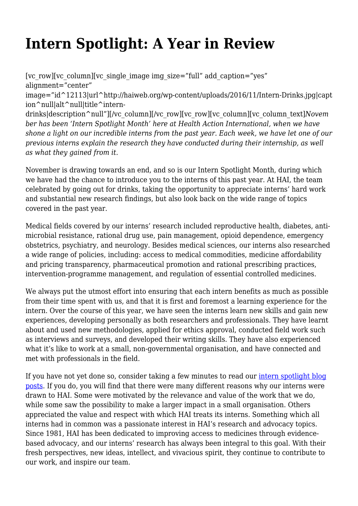## **Intern Spotlight: A Year in Review**

[vc\_row][vc\_column][vc\_single\_image\_img\_size="full" add\_caption="yes" alignment="center" image="id^12113|url^http://haiweb.org/wp-content/uploads/2016/11/Intern-Drinks.jpg|capt ion^null|alt^null|title^interndrinks|description^null"][/vc\_column][/vc\_row][vc\_row][vc\_column][vc\_column\_text]*Novem ber has been 'Intern Spotlight Month' here at Health Action International, when we have shone a light on our incredible interns from the past year. Each week, we have let one of our previous interns explain the research they have conducted during their internship, as well as what they gained from it.*

November is drawing towards an end, and so is our Intern Spotlight Month, during which we have had the chance to introduce you to the interns of this past year. At HAI, the team celebrated by going out for drinks, taking the opportunity to appreciate interns' hard work and substantial new research findings, but also look back on the wide range of topics covered in the past year.

Medical fields covered by our interns' research included reproductive health, diabetes, antimicrobial resistance, rational drug use, pain management, opioid dependence, emergency obstetrics, psychiatry, and neurology. Besides medical sciences, our interns also researched a wide range of policies, including: access to medical commodities, medicine affordability and pricing transparency, pharmaceutical promotion and rational prescribing practices, intervention-programme management, and regulation of essential controlled medicines.

We always put the utmost effort into ensuring that each intern benefits as much as possible from their time spent with us, and that it is first and foremost a learning experience for the intern. Over the course of this year, we have seen the interns learn new skills and gain new experiences, developing personally as both researchers and professionals. They have learnt about and used new methodologies, applied for ethics approval, conducted field work such as interviews and surveys, and developed their writing skills. They have also experienced what it's like to work at a small, non-governmental organisation, and have connected and met with professionals in the field.

If you have not yet done so, consider taking a few minutes to read our [intern spotlight blog](http://haiweb.org/category/interns/) [posts](http://haiweb.org/category/interns/). If you do, you will find that there were many different reasons why our interns were drawn to HAI. Some were motivated by the relevance and value of the work that we do, while some saw the possibility to make a larger impact in a small organisation. Others appreciated the value and respect with which HAI treats its interns. Something which all interns had in common was a passionate interest in HAI's research and advocacy topics. Since 1981, HAI has been dedicated to improving access to medicines through evidencebased advocacy, and our interns' research has always been integral to this goal. With their fresh perspectives, new ideas, intellect, and vivacious spirit, they continue to contribute to our work, and inspire our team.